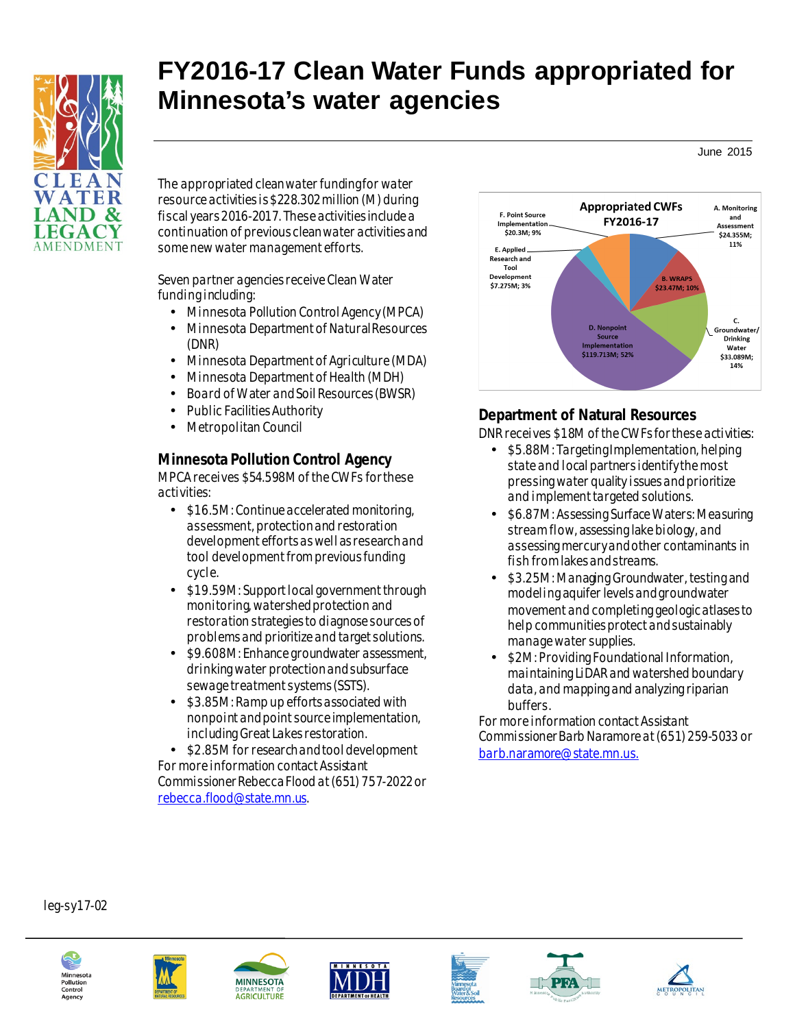

# **FY2016-17 Clean Water Funds appropriated for Minnesota's water agencies**

June 2015

The appropriated clean water funding for water resource activities is \$228.302million (M) during fiscal years 2016-2017. These activities include a continuation of previous clean water activities and some new water management efforts.

Seven partner agencies receive Clean Water funding including:

- Minnesota Pollution Control Agency (MPCA)
- Minnesota Department of Natural Resources (DNR)
- Minnesota Department of Agriculture (MDA)
- Minnesota Department of Health (MDH)
- Board of Water and Soil Resources (BWSR)
- Public Facilities Authority
- Metropolitan Council

#### **Minnesota Pollution Control Agency**

MPCA receives \$54.598M of the CWFs for these activities:

- $\cdot$  \$16.5M: Continue accelerated monitoring. assessment, protection and restoration development efforts as well as research and tool development from previous funding cycle.
- \$19.59M: Support local government through monitoring, watershed protection and restoration strategies to diagnose sources of problems and prioritize and target solutions.
- \$9.608M: Enhance groundwater assessment, i. drinking water protection and subsurface sewage treatment systems (SSTS).
- \$3.85M: Ramp up efforts associated with nonpoint and pointsource implementation, including Great Lakes restoration.

\$2.85M for research and tool development For more information contact Assistant Commissioner Rebecca Flood at(651) 757-2022 or [rebecca.flood@state.mn.us](mailto:rebecca.flood@state.mn.us).



#### **Department of Natural Resources**

DNR receives \$18M of the CWFs for these activities:

- \$5.88M: Targeting Implementation, helping state and local partners identify the most pressing water quality issues and prioritize and implement targeted solutions.
- \$6.87M: Assessing Surface Waters: Measuring ä, stream flow, assessing lake biology, and assessing mercury and other contaminants in fish from lakes and streams.
- \$3.25M: Managing Groundwater, testing and modeling aquifer levels and groundwater movement and completing geologic atlases to help communities protect and sustainably manage water supplies.
- \$2M: Providing Foundational Information, maintaining LiDAR and watershed boundary data, and mapping and analyzing riparian buffers.

For more information contact Assistant Commissioner Barb Naramore at (651) 259-5033 or [barb.naramore@state.mn.us](mailto:barb.naramore@state.mn.us).

leg-sy17-02